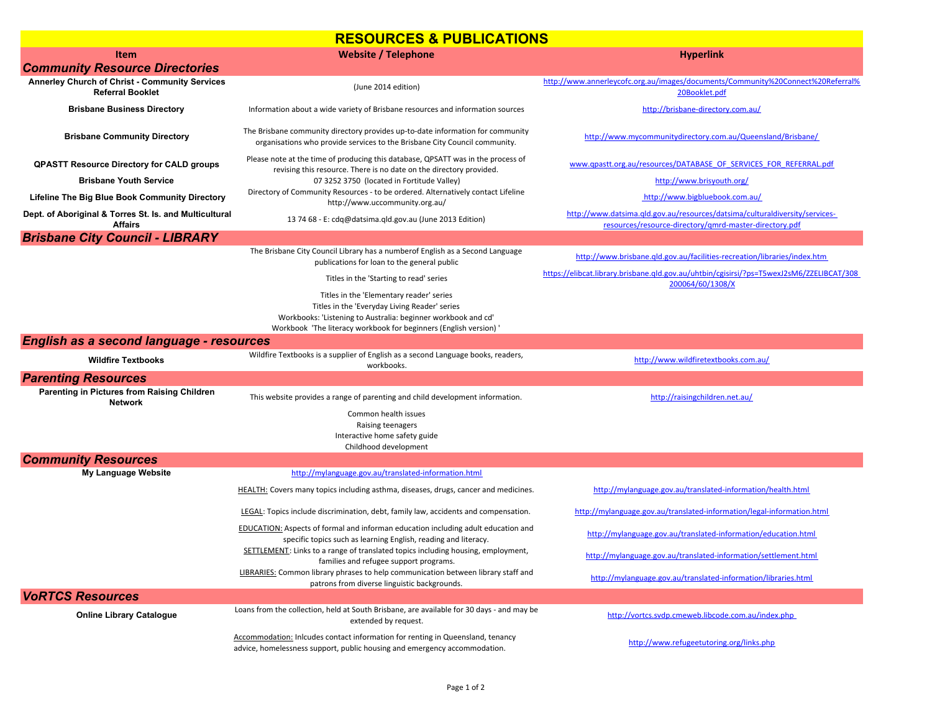## **RESOURCES & PUBLICATIONS**

| Item                                                                              | <b>Website / Telephone</b>                                                                                                                                                                                                    | <b>Hyperlink</b>                                                                                                                      |
|-----------------------------------------------------------------------------------|-------------------------------------------------------------------------------------------------------------------------------------------------------------------------------------------------------------------------------|---------------------------------------------------------------------------------------------------------------------------------------|
| <b>Community Resource Directories</b>                                             |                                                                                                                                                                                                                               |                                                                                                                                       |
| <b>Annerley Church of Christ - Community Services</b><br><b>Referral Booklet</b>  | (June 2014 edition)                                                                                                                                                                                                           | http://www.annerleycofc.org.au/images/documents/Community%20Connect%20Referral%<br>20Booklet.pdf                                      |
| <b>Brisbane Business Directory</b>                                                | Information about a wide variety of Brisbane resources and information sources                                                                                                                                                | http://brisbane-directory.com.au/                                                                                                     |
| <b>Brisbane Community Directory</b>                                               | The Brisbane community directory provides up-to-date information for community<br>organisations who provide services to the Brisbane City Council community.                                                                  | http://www.mycommunitydirectory.com.au/Queensland/Brisbane/                                                                           |
| <b>QPASTT Resource Directory for CALD groups</b><br><b>Brisbane Youth Service</b> | Please note at the time of producing this database, QPSATT was in the process of<br>revising this resource. There is no date on the directory provided.<br>07 3252 3750 (located in Fortitude Valley)                         | www.qpastt.org.au/resources/DATABASE OF SERVICES FOR REFERRAL.pdf<br>http://www.brisyouth.org/                                        |
| Lifeline The Big Blue Book Community Directory                                    | Directory of Community Resources - to be ordered. Alternatively contact Lifeline<br>http://www.uccommunity.org.au/                                                                                                            | http://www.bigbluebook.com.au/                                                                                                        |
| Dept. of Aboriginal & Torres St. Is. and Multicultural<br><b>Affairs</b>          | 13 74 68 - E: cdq@datsima.qld.gov.au (June 2013 Edition)                                                                                                                                                                      | http://www.datsima.qld.gov.au/resources/datsima/culturaldiversity/services-<br>resources/resource-directory/amrd-master-directory.pdf |
| <b>Brisbane City Council - LIBRARY</b>                                            |                                                                                                                                                                                                                               |                                                                                                                                       |
|                                                                                   | The Brisbane City Council Library has a numberof English as a Second Language<br>publications for loan to the general public                                                                                                  | http://www.brisbane.gld.gov.au/facilities-recreation/libraries/index.htm                                                              |
|                                                                                   | Titles in the 'Starting to read' series                                                                                                                                                                                       | https://elibcat.library.brisbane.qld.gov.au/uhtbin/cgisirsi/?ps=T5wexJ2sM6/ZZELIBCAT/308<br>200064/60/1308/X                          |
|                                                                                   | Titles in the 'Elementary reader' series<br>Titles in the 'Everyday Living Reader' series<br>Workbooks: 'Listening to Australia: beginner workbook and cd'<br>Workbook 'The literacy workbook for beginners (English version) |                                                                                                                                       |
| English as a second language - resources                                          |                                                                                                                                                                                                                               |                                                                                                                                       |
| <b>Wildfire Textbooks</b>                                                         | Wildfire Textbooks is a supplier of English as a second Language books, readers,<br>workbooks.                                                                                                                                | http://www.wildfiretextbooks.com.au/                                                                                                  |
| <b>Parenting Resources</b>                                                        |                                                                                                                                                                                                                               |                                                                                                                                       |
| Parenting in Pictures from Raising Children<br><b>Network</b>                     | This website provides a range of parenting and child development information.                                                                                                                                                 | http://raisingchildren.net.au/                                                                                                        |
|                                                                                   | Common health issues<br>Raising teenagers<br>Interactive home safety guide<br>Childhood development                                                                                                                           |                                                                                                                                       |
| <b>Community Resources</b>                                                        |                                                                                                                                                                                                                               |                                                                                                                                       |
| My Language Website                                                               | http://mylanguage.gov.au/translated-information.html                                                                                                                                                                          |                                                                                                                                       |
|                                                                                   | HEALTH: Covers many topics including asthma, diseases, drugs, cancer and medicines.                                                                                                                                           | http://mylanguage.gov.au/translated-information/health.html                                                                           |
|                                                                                   | LEGAL: Topics include discrimination, debt, family law, accidents and compensation.                                                                                                                                           | http://mylanguage.gov.au/translated-information/legal-information.html                                                                |
|                                                                                   | EDUCATION: Aspects of formal and informan education including adult education and<br>specific topics such as learning English, reading and literacy.                                                                          | http://mylanguage.gov.au/translated-information/education.html                                                                        |
|                                                                                   | SETTLEMENT: Links to a range of translated topics including housing, employment,<br>families and refugee support programs.                                                                                                    | http://mylanguage.gov.au/translated-information/settlement.html                                                                       |
|                                                                                   | LIBRARIES: Common library phrases to help communication between library staff and<br>patrons from diverse linguistic backgrounds.                                                                                             | http://mylanguage.gov.au/translated-information/libraries.html                                                                        |
| <b>VoRTCS Resources</b>                                                           |                                                                                                                                                                                                                               |                                                                                                                                       |
| <b>Online Library Catalogue</b>                                                   | Loans from the collection, held at South Brisbane, are available for 30 days - and may be<br>extended by request.                                                                                                             | http://vortcs.svdp.cmeweb.libcode.com.au/index.php                                                                                    |
|                                                                                   | Accommodation: Inlcudes contact information for renting in Queensland, tenancy<br>advice, homelessness support, public housing and emergency accommodation.                                                                   | http://www.refugeetutoring.org/links.php                                                                                              |